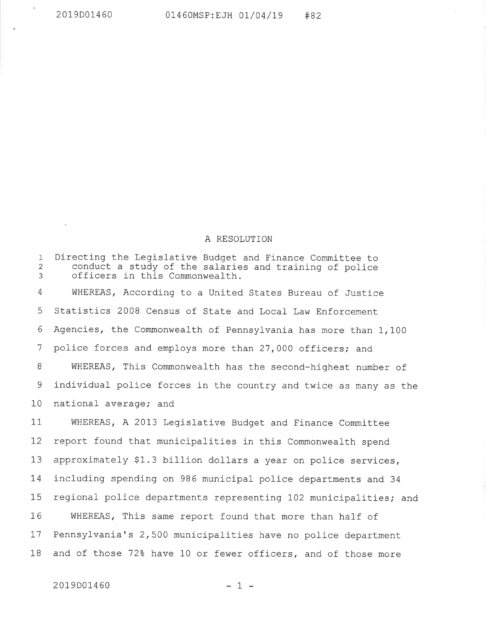## A RBSOLUTION

1 2 3 Directing the Legislative Budget and Finance Committee to conduct a study of the salaries and training of police officers in this Commonwealth. WHEREAS, According to a United States Bureau of Justice Statistics 2008 Census of State and Local Law Enforcement Agencies, the Commonwealth of Pennsylvania has more than 1,100 police forces and employs more than 27,000 officers; and WHEREAS, This Commonwealth has the second-highest number of individual police forces in the country and twice as many as the national average; and 4 5 6 1 8 9 10

WHEREAS, A 2013 Legislative Budget and Finance Committee report found that municipalities in this Commonwealth spend approximately \$1.3 billion dollars a year on police services, including spending on 986 municipal police departments and <sup>34</sup> regional police departments representing 102 municipalities; and WHEREAS, This same report found that more than half of Pennsylvania's 2,500 municipalities have no police department and of those 72% have 10 or fewer officers, and of those more 11 I2 13 14 15 I6 17 1B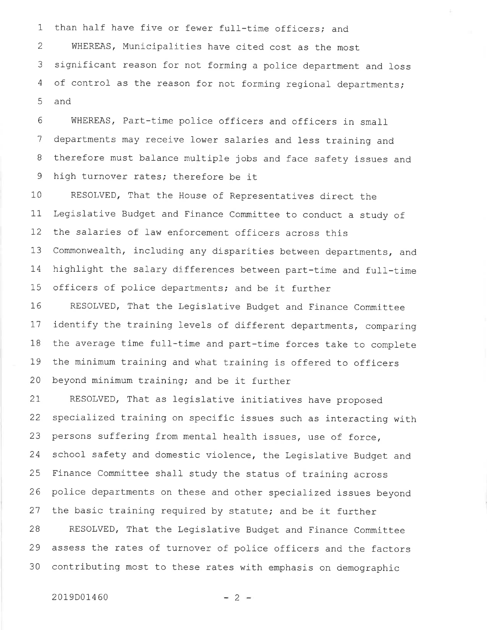1 than half have five or fewer full-time officers; and 2 WHEREAS, Municipalities have cited cost as the most 3 significant reason for not forming a police department and loss 4 of control as the reason for not forming regional departments; 5 and

6 '7 B 9 WHEREAS, Part-time police officers and officers in small departments may receive lower salaries and less training and therefore must balance multiple jobs and face safety issues and high turnover rates; therefore be it

10 11 I2 13 L4 1\_5 RESOLVED, That the House of Representatives direct the Legislative Budget and Finance Committee to conduct a study of the salaries of law enforcement officers across this commonwealth, including any disparities between departments, and highlight the salary differences between part-time and full-time officers of police departments; and be it further

1,6 L1 18 79 20 RESOLVED, That the Legislative Budget and Finance Committee identify the training levels of different departments, comparing the average time full-time and part-time forces take to complete the minimum training and what training is offered to officers beyond minimum training; and be it further

2T 22 23 24 25 26 27 28 29 30 RESOLVED, That as legislative initiatives have proposed specialized training on specific issues such as interacting with persons suffering from mental health issues, use of force, school safety and domestic violence, the Legislative Budget and Finance committee shall study the status of training across police departments on these and other specialized issues beyond the basic training required by statute; and be it further RESOLVED, That the Legislative Budget and Finance Committee assess the rates of turnover of police officers and the factors contributing most to these rates with emphasis on demographic

## $2019D01460$   $-2$   $-$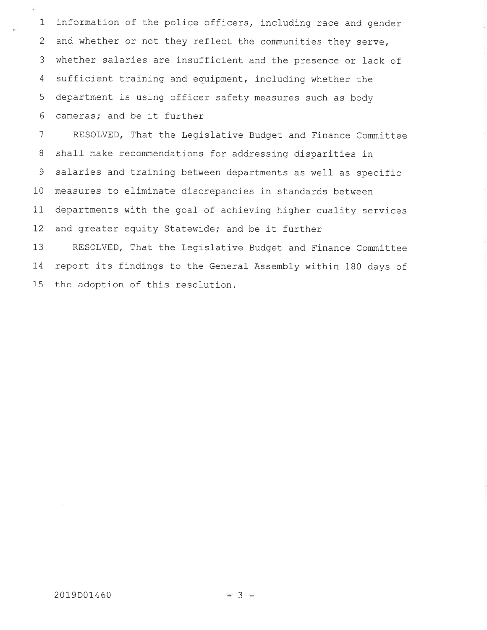1 z 3 4  $\overline{5}$ 6 information of the police officers, including race and gender and whether or not they reflect the communities they serve, whether salaries are insufficient and the presence or lack of sufficient training and equipment, including whether the department is using officer safety measures such as body cameras; and be it further

7 a 9 10 11 T2 RESOLVED, That the Legislative Budget and Finance Committee shall make recommendations for addressing disparities in salaries and training between departments as well as specific measures to eliminate discrepancies in standards between departments with the goal of achieving higher quality services and greater equity Statewide; and be it further

13 T4 15 RESOLVED, That the Legislative Budget and Finance Committee report its findings to the General Assembly within 180 days of the adoption of this resolution.